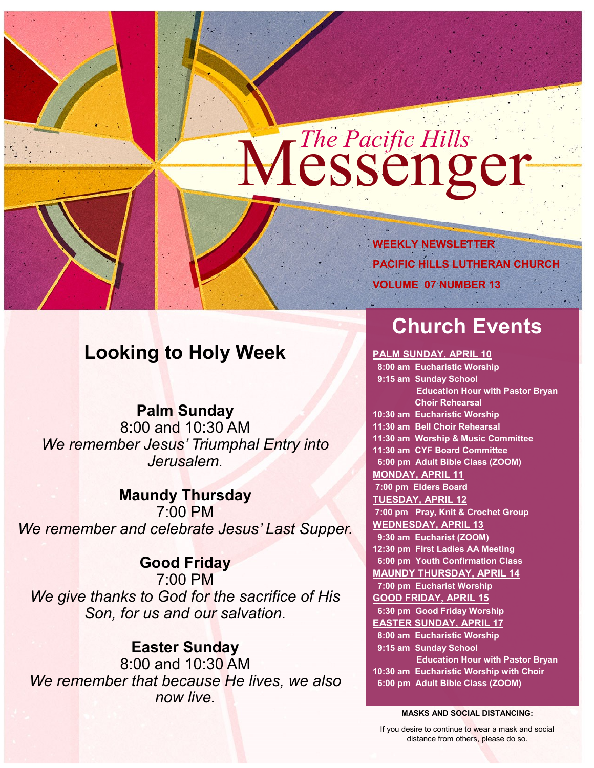# Messenger *The Pacific Hills*

**WEEKLY NEWSLETTER PACIFIC HILLS LUTHERAN CHURCH VOLUME 07 NUMBER 13**

# **Looking to Holy Week**

**Palm Sunday** 8:00 and 10:30 AM *We remember Jesus' Triumphal Entry into Jerusalem.* 

# **Maundy Thursday**

7:00 PM *We remember and celebrate Jesus' Last Supper.* 

## **Good Friday**

7:00 PM *We give thanks to God for the sacrifice of His Son, for us and our salvation.* 

## **Easter Sunday**

8:00 and 10:30 AM *We remember that because He lives, we also now live.*

# **Church Events**

#### **PALM SUNDAY, APRIL 10**

 **8:00 am Eucharistic Worship 9:15 am Sunday School Education Hour with Pastor Bryan Choir Rehearsal 10:30 am Eucharistic Worship 11:30 am Bell Choir Rehearsal 11:30 am Worship & Music Committee 11:30 am CYF Board Committee 6:00 pm Adult Bible Class (ZOOM) MONDAY, APRIL 11 7:00 pm Elders Board TUESDAY, APRIL 12 7:00 pm Pray, Knit & Crochet Group WEDNESDAY, APRIL 13 9:30 am Eucharist (ZOOM) 12:30 pm First Ladies AA Meeting 6:00 pm Youth Confirmation Class MAUNDY THURSDAY, APRIL 14 7:00 pm Eucharist Worship GOOD FRIDAY, APRIL 15 6:30 pm Good Friday Worship EASTER SUNDAY, APRIL 17 8:00 am Eucharistic Worship 9:15 am Sunday School Education Hour with Pastor Bryan 10:30 am Eucharistic Worship with Choir 6:00 pm Adult Bible Class (ZOOM)**

**MASKS AND SOCIAL DISTANCING:**

If you desire to continue to wear a mask and social distance from others, please do so.